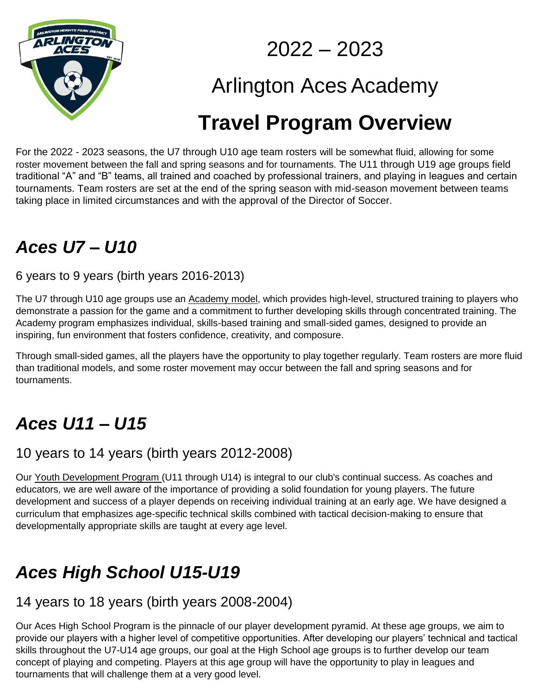

2022 – 2023

# Arlington Aces Academy

# **Travel Program Overview**

For the 2022 - 2023 seasons, the U7 through U10 age team rosters will be somewhat fluid, allowing for some roster movement between the fall and spring seasons and for tournaments. The U11 through U19 age groups field traditional "A" and "B" teams, all trained and coached by professional trainers, and playing in leagues and certain tournaments. Team rosters are set at the end of the spring season with mid-season movement between teams taking place in limited circumstances and with the approval of the Director of Soccer.

### *Aces U7 – U10*

6 years to 9 years (birth years 2016-2013)

The U7 through U10 age groups use an Academy model, which provides high-level, structured training to players who demonstrate a passion for the game and a commitment to further developing skills through concentrated training. The Academy program emphasizes individual, skills-based training and small-sided games, designed to provide an inspiring, fun environment that fosters confidence, creativity, and composure.

Through small-sided games, all the players have the opportunity to play together regularly. Team rosters are more fluid than traditional models, and some roster movement may occur between the fall and spring seasons and for tournaments.

### *Aces U11 – U15*

#### 10 years to 14 years (birth years 2012-2008)

Our Youth Development Program (U11 through U14) is integral to our club's continual success. As coaches and educators, we are well aware of the importance of providing a solid foundation for young players. The future development and success of a player depends on receiving individual training at an early age. We have designed a curriculum that emphasizes age-specific technical skills combined with tactical decision-making to ensure that developmentally appropriate skills are taught at every age level.

### *Aces High School U15-U19*

#### 14 years to 18 years (birth years 2008-2004)

Our Aces High School Program is the pinnacle of our player development pyramid. At these age groups, we aim to provide our players with a higher level of competitive opportunities. After developing our players' technical and tactical skills throughout the U7-U14 age groups, our goal at the High School age groups is to further develop our team concept of playing and competing. Players at this age group will have the opportunity to play in leagues and tournaments that will challenge them at a very good level.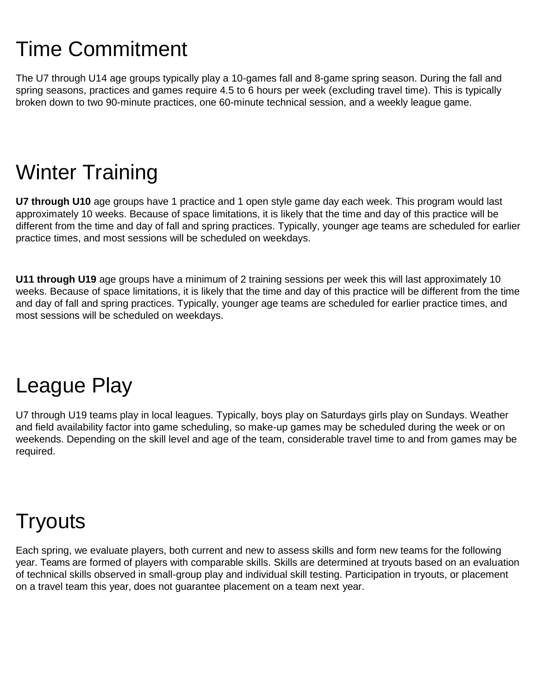# Time Commitment

The U7 through U14 age groups typically play a 10-games fall and 8-game spring season. During the fall and spring seasons, practices and games require 4.5 to 6 hours per week (excluding travel time). This is typically broken down to two 90-minute practices, one 60-minute technical session, and a weekly league game.

# Winter Training

**U7 through U10** age groups have 1 practice and 1 open style game day each week. This program would last approximately 10 weeks. Because of space limitations, it is likely that the time and day of this practice will be different from the time and day of fall and spring practices. Typically, younger age teams are scheduled for earlier practice times, and most sessions will be scheduled on weekdays.

**U11 through U19** age groups have a minimum of 2 training sessions per week this will last approximately 10 weeks. Because of space limitations, it is likely that the time and day of this practice will be different from the time and day of fall and spring practices. Typically, younger age teams are scheduled for earlier practice times, and most sessions will be scheduled on weekdays.

### League Play

U7 through U19 teams play in local leagues. Typically, boys play on Saturdays girls play on Sundays. Weather and field availability factor into game scheduling, so make-up games may be scheduled during the week or on weekends. Depending on the skill level and age of the team, considerable travel time to and from games may be required.

## **Tryouts**

Each spring, we evaluate players, both current and new to assess skills and form new teams for the following year. Teams are formed of players with comparable skills. Skills are determined at tryouts based on an evaluation of technical skills observed in small-group play and individual skill testing. Participation in tryouts, or placement on a travel team this year, does not guarantee placement on a team next year.